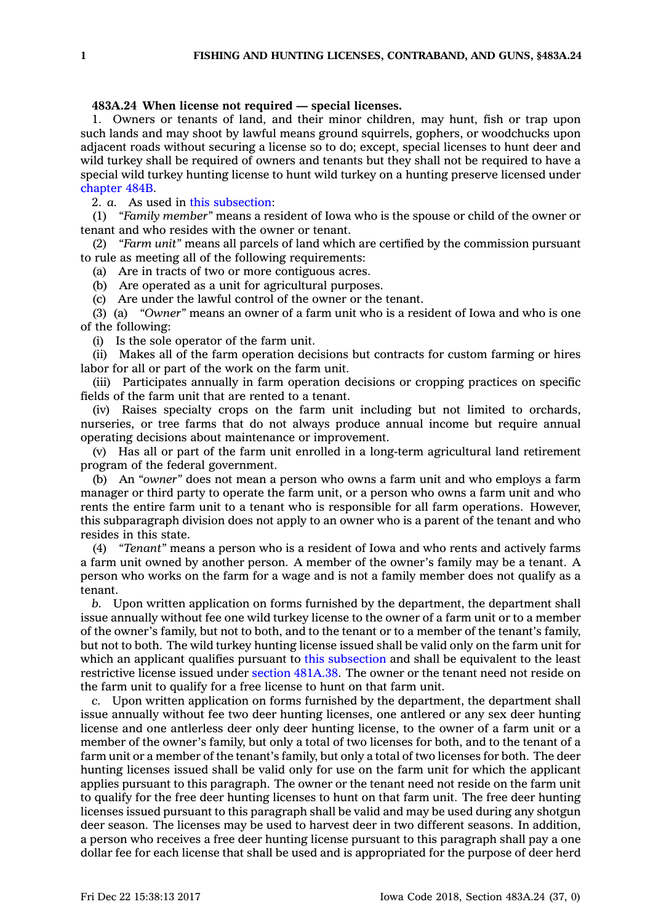## **483A.24 When license not required — special licenses.**

1. Owners or tenants of land, and their minor children, may hunt, fish or trap upon such lands and may shoot by lawful means ground squirrels, gophers, or woodchucks upon adjacent roads without securing <sup>a</sup> license so to do; except, special licenses to hunt deer and wild turkey shall be required of owners and tenants but they shall not be required to have <sup>a</sup> special wild turkey hunting license to hunt wild turkey on <sup>a</sup> hunting preserve licensed under [chapter](https://www.legis.iowa.gov/docs/code//484B.pdf) 484B.

2. *a.* As used in this [subsection](https://www.legis.iowa.gov/docs/code/483A.24.pdf):

(1) *"Family member"* means <sup>a</sup> resident of Iowa who is the spouse or child of the owner or tenant and who resides with the owner or tenant.

(2) *"Farm unit"* means all parcels of land which are certified by the commission pursuant to rule as meeting all of the following requirements:

(a) Are in tracts of two or more contiguous acres.

(b) Are operated as <sup>a</sup> unit for agricultural purposes.

(c) Are under the lawful control of the owner or the tenant.

(3) (a) *"Owner"* means an owner of <sup>a</sup> farm unit who is <sup>a</sup> resident of Iowa and who is one of the following:

(i) Is the sole operator of the farm unit.

(ii) Makes all of the farm operation decisions but contracts for custom farming or hires labor for all or part of the work on the farm unit.

(iii) Participates annually in farm operation decisions or cropping practices on specific fields of the farm unit that are rented to <sup>a</sup> tenant.

(iv) Raises specialty crops on the farm unit including but not limited to orchards, nurseries, or tree farms that do not always produce annual income but require annual operating decisions about maintenance or improvement.

(v) Has all or part of the farm unit enrolled in <sup>a</sup> long-term agricultural land retirement program of the federal government.

(b) An *"owner"* does not mean <sup>a</sup> person who owns <sup>a</sup> farm unit and who employs <sup>a</sup> farm manager or third party to operate the farm unit, or <sup>a</sup> person who owns <sup>a</sup> farm unit and who rents the entire farm unit to <sup>a</sup> tenant who is responsible for all farm operations. However, this subparagraph division does not apply to an owner who is <sup>a</sup> parent of the tenant and who resides in this state.

(4) *"Tenant"* means <sup>a</sup> person who is <sup>a</sup> resident of Iowa and who rents and actively farms <sup>a</sup> farm unit owned by another person. A member of the owner's family may be <sup>a</sup> tenant. A person who works on the farm for <sup>a</sup> wage and is not <sup>a</sup> family member does not qualify as <sup>a</sup> tenant.

*b.* Upon written application on forms furnished by the department, the department shall issue annually without fee one wild turkey license to the owner of <sup>a</sup> farm unit or to <sup>a</sup> member of the owner's family, but not to both, and to the tenant or to <sup>a</sup> member of the tenant's family, but not to both. The wild turkey hunting license issued shall be valid only on the farm unit for which an applicant qualifies pursuant to this [subsection](https://www.legis.iowa.gov/docs/code/483A.24.pdf) and shall be equivalent to the least restrictive license issued under section [481A.38](https://www.legis.iowa.gov/docs/code/481A.38.pdf). The owner or the tenant need not reside on the farm unit to qualify for <sup>a</sup> free license to hunt on that farm unit.

*c.* Upon written application on forms furnished by the department, the department shall issue annually without fee two deer hunting licenses, one antlered or any sex deer hunting license and one antlerless deer only deer hunting license, to the owner of <sup>a</sup> farm unit or <sup>a</sup> member of the owner's family, but only <sup>a</sup> total of two licenses for both, and to the tenant of <sup>a</sup> farm unit or <sup>a</sup> member of the tenant's family, but only <sup>a</sup> total of two licenses for both. The deer hunting licenses issued shall be valid only for use on the farm unit for which the applicant applies pursuant to this paragraph. The owner or the tenant need not reside on the farm unit to qualify for the free deer hunting licenses to hunt on that farm unit. The free deer hunting licenses issued pursuant to this paragraph shall be valid and may be used during any shotgun deer season. The licenses may be used to harvest deer in two different seasons. In addition, <sup>a</sup> person who receives <sup>a</sup> free deer hunting license pursuant to this paragraph shall pay <sup>a</sup> one dollar fee for each license that shall be used and is appropriated for the purpose of deer herd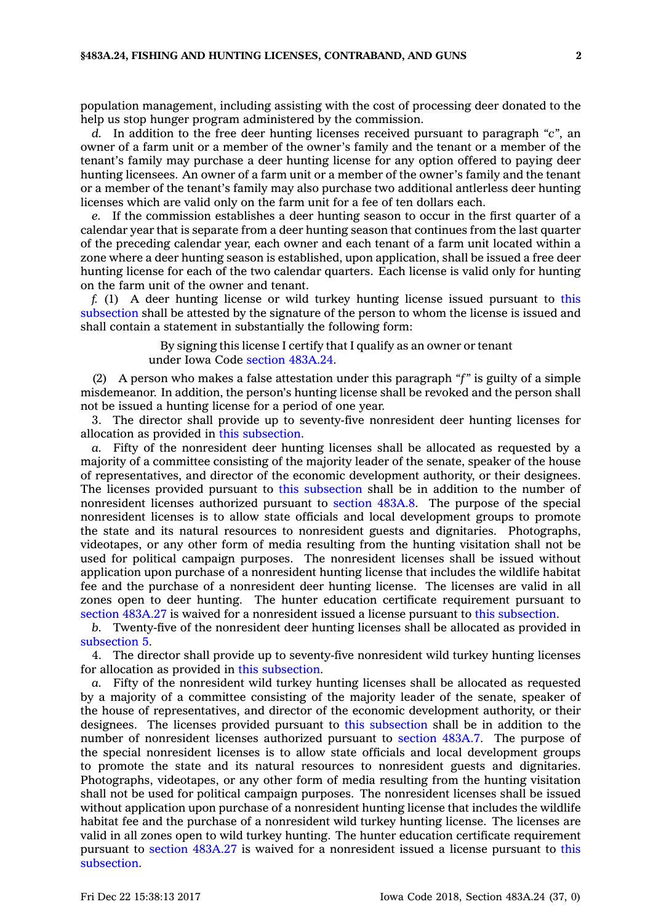population management, including assisting with the cost of processing deer donated to the help us stop hunger program administered by the commission.

*d.* In addition to the free deer hunting licenses received pursuant to paragraph *"c"*, an owner of <sup>a</sup> farm unit or <sup>a</sup> member of the owner's family and the tenant or <sup>a</sup> member of the tenant's family may purchase <sup>a</sup> deer hunting license for any option offered to paying deer hunting licensees. An owner of <sup>a</sup> farm unit or <sup>a</sup> member of the owner's family and the tenant or <sup>a</sup> member of the tenant's family may also purchase two additional antlerless deer hunting licenses which are valid only on the farm unit for <sup>a</sup> fee of ten dollars each.

*e.* If the commission establishes <sup>a</sup> deer hunting season to occur in the first quarter of <sup>a</sup> calendar year that is separate from <sup>a</sup> deer hunting season that continues from the last quarter of the preceding calendar year, each owner and each tenant of <sup>a</sup> farm unit located within <sup>a</sup> zone where <sup>a</sup> deer hunting season is established, upon application, shall be issued <sup>a</sup> free deer hunting license for each of the two calendar quarters. Each license is valid only for hunting on the farm unit of the owner and tenant.

*f.* (1) A deer hunting license or wild turkey hunting license issued pursuant to [this](https://www.legis.iowa.gov/docs/code/483A.24.pdf) [subsection](https://www.legis.iowa.gov/docs/code/483A.24.pdf) shall be attested by the signature of the person to whom the license is issued and shall contain <sup>a</sup> statement in substantially the following form:

> By signing this license I certify that I qualify as an owner or tenant under Iowa Code section [483A.24](https://www.legis.iowa.gov/docs/code/483A.24.pdf).

(2) A person who makes <sup>a</sup> false attestation under this paragraph *"f"* is guilty of <sup>a</sup> simple misdemeanor. In addition, the person's hunting license shall be revoked and the person shall not be issued <sup>a</sup> hunting license for <sup>a</sup> period of one year.

3. The director shall provide up to seventy-five nonresident deer hunting licenses for allocation as provided in this [subsection](https://www.legis.iowa.gov/docs/code/483A.24.pdf).

*a.* Fifty of the nonresident deer hunting licenses shall be allocated as requested by <sup>a</sup> majority of <sup>a</sup> committee consisting of the majority leader of the senate, speaker of the house of representatives, and director of the economic development authority, or their designees. The licenses provided pursuant to this [subsection](https://www.legis.iowa.gov/docs/code/483A.24.pdf) shall be in addition to the number of nonresident licenses authorized pursuant to [section](https://www.legis.iowa.gov/docs/code/483A.8.pdf) 483A.8. The purpose of the special nonresident licenses is to allow state officials and local development groups to promote the state and its natural resources to nonresident guests and dignitaries. Photographs, videotapes, or any other form of media resulting from the hunting visitation shall not be used for political campaign purposes. The nonresident licenses shall be issued without application upon purchase of <sup>a</sup> nonresident hunting license that includes the wildlife habitat fee and the purchase of <sup>a</sup> nonresident deer hunting license. The licenses are valid in all zones open to deer hunting. The hunter education certificate requirement pursuant to section [483A.27](https://www.legis.iowa.gov/docs/code/483A.27.pdf) is waived for <sup>a</sup> nonresident issued <sup>a</sup> license pursuant to this [subsection](https://www.legis.iowa.gov/docs/code/483A.24.pdf).

*b.* Twenty-five of the nonresident deer hunting licenses shall be allocated as provided in [subsection](https://www.legis.iowa.gov/docs/code/483A.24.pdf) 5.

4. The director shall provide up to seventy-five nonresident wild turkey hunting licenses for allocation as provided in this [subsection](https://www.legis.iowa.gov/docs/code/483A.24.pdf).

*a.* Fifty of the nonresident wild turkey hunting licenses shall be allocated as requested by <sup>a</sup> majority of <sup>a</sup> committee consisting of the majority leader of the senate, speaker of the house of representatives, and director of the economic development authority, or their designees. The licenses provided pursuant to this [subsection](https://www.legis.iowa.gov/docs/code/483A.24.pdf) shall be in addition to the number of nonresident licenses authorized pursuant to [section](https://www.legis.iowa.gov/docs/code/483A.7.pdf) 483A.7. The purpose of the special nonresident licenses is to allow state officials and local development groups to promote the state and its natural resources to nonresident guests and dignitaries. Photographs, videotapes, or any other form of media resulting from the hunting visitation shall not be used for political campaign purposes. The nonresident licenses shall be issued without application upon purchase of <sup>a</sup> nonresident hunting license that includes the wildlife habitat fee and the purchase of <sup>a</sup> nonresident wild turkey hunting license. The licenses are valid in all zones open to wild turkey hunting. The hunter education certificate requirement pursuant to section [483A.27](https://www.legis.iowa.gov/docs/code/483A.27.pdf) is waived for <sup>a</sup> nonresident issued <sup>a</sup> license pursuant to [this](https://www.legis.iowa.gov/docs/code/483A.24.pdf) [subsection](https://www.legis.iowa.gov/docs/code/483A.24.pdf).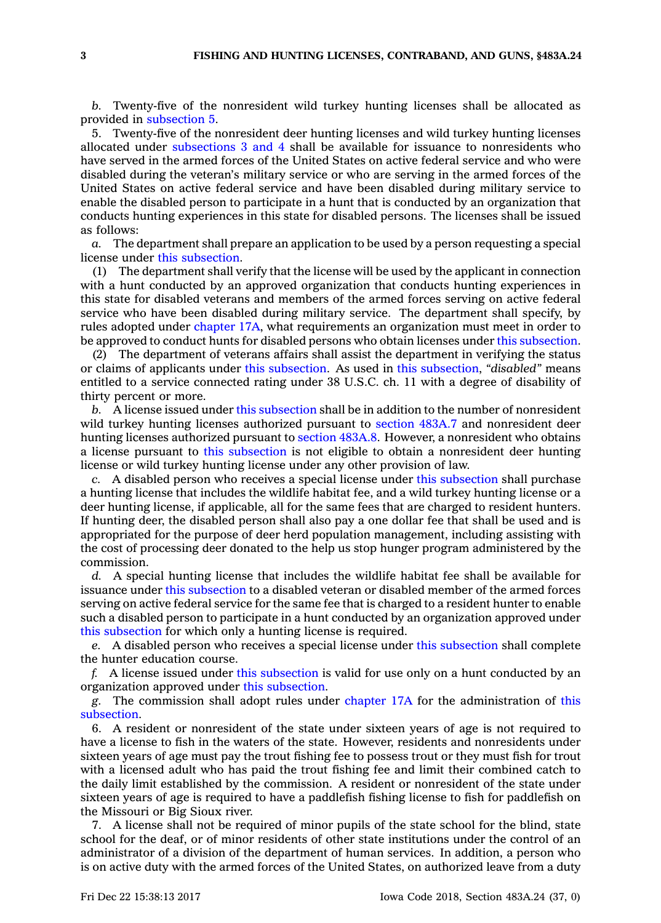*b.* Twenty-five of the nonresident wild turkey hunting licenses shall be allocated as provided in [subsection](https://www.legis.iowa.gov/docs/code/483A.24.pdf) 5.

5. Twenty-five of the nonresident deer hunting licenses and wild turkey hunting licenses allocated under [subsections](https://www.legis.iowa.gov/docs/code/483A.24.pdf) 3 and 4 shall be available for issuance to nonresidents who have served in the armed forces of the United States on active federal service and who were disabled during the veteran's military service or who are serving in the armed forces of the United States on active federal service and have been disabled during military service to enable the disabled person to participate in <sup>a</sup> hunt that is conducted by an organization that conducts hunting experiences in this state for disabled persons. The licenses shall be issued as follows:

*a.* The department shall prepare an application to be used by <sup>a</sup> person requesting <sup>a</sup> special license under this [subsection](https://www.legis.iowa.gov/docs/code/483A.24.pdf).

(1) The department shall verify that the license will be used by the applicant in connection with <sup>a</sup> hunt conducted by an approved organization that conducts hunting experiences in this state for disabled veterans and members of the armed forces serving on active federal service who have been disabled during military service. The department shall specify, by rules adopted under [chapter](https://www.legis.iowa.gov/docs/code//17A.pdf) 17A, what requirements an organization must meet in order to be approved to conduct hunts for disabled persons who obtain licenses under this [subsection](https://www.legis.iowa.gov/docs/code/483A.24.pdf).

(2) The department of veterans affairs shall assist the department in verifying the status or claims of applicants under this [subsection](https://www.legis.iowa.gov/docs/code/483A.24.pdf). As used in this [subsection](https://www.legis.iowa.gov/docs/code/483A.24.pdf), *"disabled"* means entitled to <sup>a</sup> service connected rating under 38 U.S.C. ch. 11 with <sup>a</sup> degree of disability of thirty percent or more.

*b.* A license issued under this [subsection](https://www.legis.iowa.gov/docs/code/483A.24.pdf) shall be in addition to the number of nonresident wild turkey hunting licenses authorized pursuant to [section](https://www.legis.iowa.gov/docs/code/483A.7.pdf) 483A.7 and nonresident deer hunting licenses authorized pursuant to [section](https://www.legis.iowa.gov/docs/code/483A.8.pdf) 483A.8. However, <sup>a</sup> nonresident who obtains <sup>a</sup> license pursuant to this [subsection](https://www.legis.iowa.gov/docs/code/483A.24.pdf) is not eligible to obtain <sup>a</sup> nonresident deer hunting license or wild turkey hunting license under any other provision of law.

*c.* A disabled person who receives <sup>a</sup> special license under this [subsection](https://www.legis.iowa.gov/docs/code/483A.24.pdf) shall purchase <sup>a</sup> hunting license that includes the wildlife habitat fee, and <sup>a</sup> wild turkey hunting license or <sup>a</sup> deer hunting license, if applicable, all for the same fees that are charged to resident hunters. If hunting deer, the disabled person shall also pay <sup>a</sup> one dollar fee that shall be used and is appropriated for the purpose of deer herd population management, including assisting with the cost of processing deer donated to the help us stop hunger program administered by the commission.

*d.* A special hunting license that includes the wildlife habitat fee shall be available for issuance under this [subsection](https://www.legis.iowa.gov/docs/code/483A.24.pdf) to <sup>a</sup> disabled veteran or disabled member of the armed forces serving on active federal service for the same fee that is charged to <sup>a</sup> resident hunter to enable such <sup>a</sup> disabled person to participate in <sup>a</sup> hunt conducted by an organization approved under this [subsection](https://www.legis.iowa.gov/docs/code/483A.24.pdf) for which only <sup>a</sup> hunting license is required.

*e.* A disabled person who receives <sup>a</sup> special license under this [subsection](https://www.legis.iowa.gov/docs/code/483A.24.pdf) shall complete the hunter education course.

*f.* A license issued under this [subsection](https://www.legis.iowa.gov/docs/code/483A.24.pdf) is valid for use only on <sup>a</sup> hunt conducted by an organization approved under this [subsection](https://www.legis.iowa.gov/docs/code/483A.24.pdf).

*g.* The commission shall adopt rules under [chapter](https://www.legis.iowa.gov/docs/code//17A.pdf) 17A for the administration of [this](https://www.legis.iowa.gov/docs/code/483A.24.pdf) [subsection](https://www.legis.iowa.gov/docs/code/483A.24.pdf).

6. A resident or nonresident of the state under sixteen years of age is not required to have <sup>a</sup> license to fish in the waters of the state. However, residents and nonresidents under sixteen years of age must pay the trout fishing fee to possess trout or they must fish for trout with <sup>a</sup> licensed adult who has paid the trout fishing fee and limit their combined catch to the daily limit established by the commission. A resident or nonresident of the state under sixteen years of age is required to have <sup>a</sup> paddlefish fishing license to fish for paddlefish on the Missouri or Big Sioux river.

7. A license shall not be required of minor pupils of the state school for the blind, state school for the deaf, or of minor residents of other state institutions under the control of an administrator of <sup>a</sup> division of the department of human services. In addition, <sup>a</sup> person who is on active duty with the armed forces of the United States, on authorized leave from <sup>a</sup> duty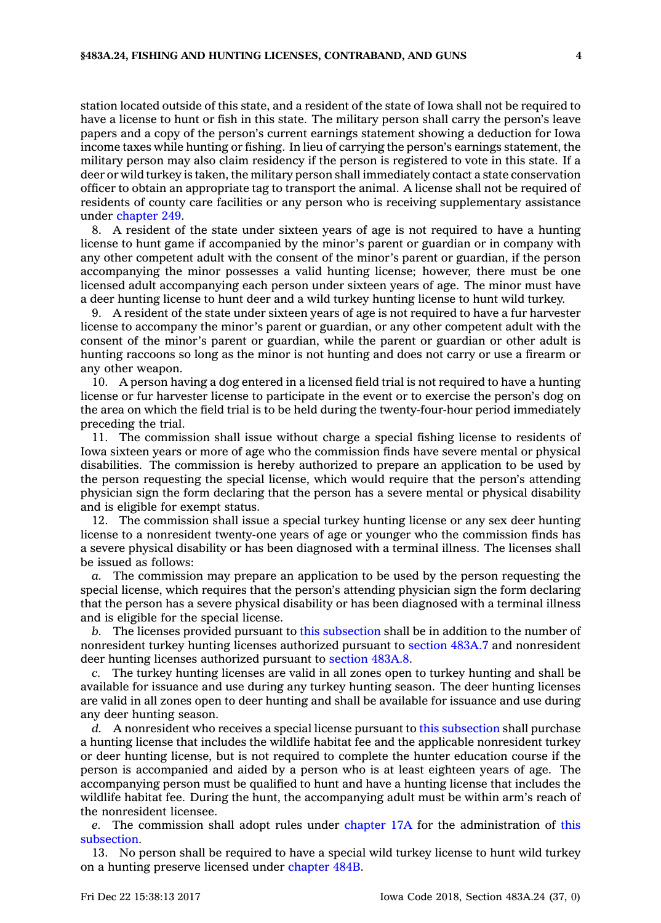station located outside of this state, and <sup>a</sup> resident of the state of Iowa shall not be required to have <sup>a</sup> license to hunt or fish in this state. The military person shall carry the person's leave papers and <sup>a</sup> copy of the person's current earnings statement showing <sup>a</sup> deduction for Iowa income taxes while hunting or fishing. In lieu of carrying the person's earnings statement, the military person may also claim residency if the person is registered to vote in this state. If <sup>a</sup> deer or wild turkey is taken, the military person shall immediately contact <sup>a</sup> state conservation officer to obtain an appropriate tag to transport the animal. A license shall not be required of residents of county care facilities or any person who is receiving supplementary assistance under [chapter](https://www.legis.iowa.gov/docs/code//249.pdf) 249.

8. A resident of the state under sixteen years of age is not required to have <sup>a</sup> hunting license to hunt game if accompanied by the minor's parent or guardian or in company with any other competent adult with the consent of the minor's parent or guardian, if the person accompanying the minor possesses <sup>a</sup> valid hunting license; however, there must be one licensed adult accompanying each person under sixteen years of age. The minor must have <sup>a</sup> deer hunting license to hunt deer and <sup>a</sup> wild turkey hunting license to hunt wild turkey.

9. A resident of the state under sixteen years of age is not required to have <sup>a</sup> fur harvester license to accompany the minor's parent or guardian, or any other competent adult with the consent of the minor's parent or guardian, while the parent or guardian or other adult is hunting raccoons so long as the minor is not hunting and does not carry or use <sup>a</sup> firearm or any other weapon.

10. A person having <sup>a</sup> dog entered in <sup>a</sup> licensed field trial is not required to have <sup>a</sup> hunting license or fur harvester license to participate in the event or to exercise the person's dog on the area on which the field trial is to be held during the twenty-four-hour period immediately preceding the trial.

11. The commission shall issue without charge <sup>a</sup> special fishing license to residents of Iowa sixteen years or more of age who the commission finds have severe mental or physical disabilities. The commission is hereby authorized to prepare an application to be used by the person requesting the special license, which would require that the person's attending physician sign the form declaring that the person has <sup>a</sup> severe mental or physical disability and is eligible for exempt status.

12. The commission shall issue <sup>a</sup> special turkey hunting license or any sex deer hunting license to <sup>a</sup> nonresident twenty-one years of age or younger who the commission finds has <sup>a</sup> severe physical disability or has been diagnosed with <sup>a</sup> terminal illness. The licenses shall be issued as follows:

*a.* The commission may prepare an application to be used by the person requesting the special license, which requires that the person's attending physician sign the form declaring that the person has <sup>a</sup> severe physical disability or has been diagnosed with <sup>a</sup> terminal illness and is eligible for the special license.

*b.* The licenses provided pursuant to this [subsection](https://www.legis.iowa.gov/docs/code/483A.24.pdf) shall be in addition to the number of nonresident turkey hunting licenses authorized pursuant to [section](https://www.legis.iowa.gov/docs/code/483A.7.pdf) 483A.7 and nonresident deer hunting licenses authorized pursuant to [section](https://www.legis.iowa.gov/docs/code/483A.8.pdf) 483A.8.

*c.* The turkey hunting licenses are valid in all zones open to turkey hunting and shall be available for issuance and use during any turkey hunting season. The deer hunting licenses are valid in all zones open to deer hunting and shall be available for issuance and use during any deer hunting season.

*d.* A nonresident who receives <sup>a</sup> special license pursuant to this [subsection](https://www.legis.iowa.gov/docs/code/483A.24.pdf) shall purchase <sup>a</sup> hunting license that includes the wildlife habitat fee and the applicable nonresident turkey or deer hunting license, but is not required to complete the hunter education course if the person is accompanied and aided by <sup>a</sup> person who is at least eighteen years of age. The accompanying person must be qualified to hunt and have <sup>a</sup> hunting license that includes the wildlife habitat fee. During the hunt, the accompanying adult must be within arm's reach of the nonresident licensee.

*e.* The commission shall adopt rules under [chapter](https://www.legis.iowa.gov/docs/code//17A.pdf) 17A for the administration of [this](https://www.legis.iowa.gov/docs/code/483A.24.pdf) [subsection](https://www.legis.iowa.gov/docs/code/483A.24.pdf).

13. No person shall be required to have <sup>a</sup> special wild turkey license to hunt wild turkey on <sup>a</sup> hunting preserve licensed under [chapter](https://www.legis.iowa.gov/docs/code//484B.pdf) 484B.